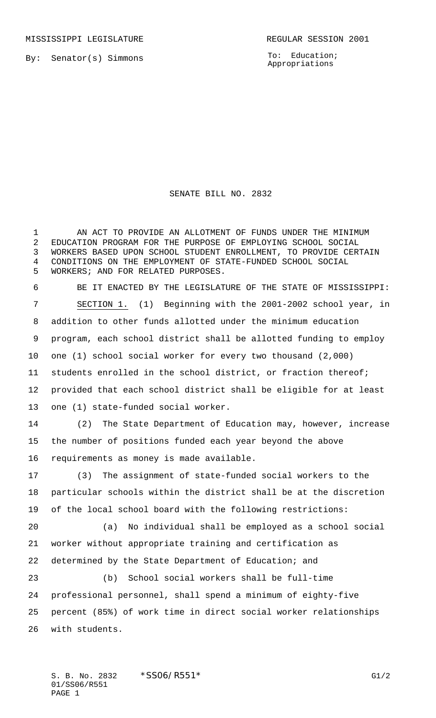To: Education; Appropriations

## SENATE BILL NO. 2832

 AN ACT TO PROVIDE AN ALLOTMENT OF FUNDS UNDER THE MINIMUM EDUCATION PROGRAM FOR THE PURPOSE OF EMPLOYING SCHOOL SOCIAL WORKERS BASED UPON SCHOOL STUDENT ENROLLMENT, TO PROVIDE CERTAIN CONDITIONS ON THE EMPLOYMENT OF STATE-FUNDED SCHOOL SOCIAL WORKERS; AND FOR RELATED PURPOSES.

 BE IT ENACTED BY THE LEGISLATURE OF THE STATE OF MISSISSIPPI: SECTION 1. (1) Beginning with the 2001-2002 school year, in addition to other funds allotted under the minimum education program, each school district shall be allotted funding to employ one (1) school social worker for every two thousand (2,000) students enrolled in the school district, or fraction thereof; provided that each school district shall be eligible for at least one (1) state-funded social worker.

 (2) The State Department of Education may, however, increase the number of positions funded each year beyond the above requirements as money is made available.

 (3) The assignment of state-funded social workers to the particular schools within the district shall be at the discretion of the local school board with the following restrictions:

 (a) No individual shall be employed as a school social worker without appropriate training and certification as determined by the State Department of Education; and

 (b) School social workers shall be full-time professional personnel, shall spend a minimum of eighty-five percent (85%) of work time in direct social worker relationships with students.